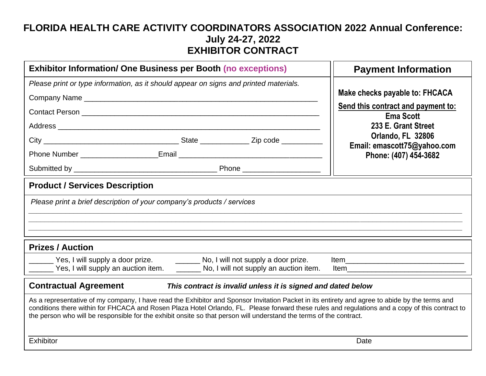## **FLORIDA HEALTH CARE ACTIVITY COORDINATORS ASSOCIATION 2022 Annual Conference: July 24-27, 2022 EXHIBITOR CONTRACT**

| <b>Exhibitor Information/ One Business per Booth (no exceptions)</b>                                                                                                                                                                                                                                                                                                                                                     | <b>Payment Information</b>                             |
|--------------------------------------------------------------------------------------------------------------------------------------------------------------------------------------------------------------------------------------------------------------------------------------------------------------------------------------------------------------------------------------------------------------------------|--------------------------------------------------------|
| Please print or type information, as it should appear on signs and printed materials.                                                                                                                                                                                                                                                                                                                                    |                                                        |
|                                                                                                                                                                                                                                                                                                                                                                                                                          | Make checks payable to: FHCACA                         |
|                                                                                                                                                                                                                                                                                                                                                                                                                          | Send this contract and payment to:<br><b>Ema Scott</b> |
|                                                                                                                                                                                                                                                                                                                                                                                                                          | 233 E. Grant Street                                    |
|                                                                                                                                                                                                                                                                                                                                                                                                                          | Orlando, FL 32806<br>Email: emascott75@yahoo.com       |
|                                                                                                                                                                                                                                                                                                                                                                                                                          | Phone: (407) 454-3682                                  |
|                                                                                                                                                                                                                                                                                                                                                                                                                          |                                                        |
| <b>Product / Services Description</b>                                                                                                                                                                                                                                                                                                                                                                                    |                                                        |
| Please print a brief description of your company's products / services                                                                                                                                                                                                                                                                                                                                                   |                                                        |
|                                                                                                                                                                                                                                                                                                                                                                                                                          |                                                        |
|                                                                                                                                                                                                                                                                                                                                                                                                                          |                                                        |
| <b>Prizes / Auction</b>                                                                                                                                                                                                                                                                                                                                                                                                  |                                                        |
| Yes, I will supply a door prize.<br>No, I will not supply a door prize.                                                                                                                                                                                                                                                                                                                                                  |                                                        |
| Yes, I will supply an auction item. _________ No, I will not supply an auction item.                                                                                                                                                                                                                                                                                                                                     | <b>Item</b>                                            |
| <b>Contractual Agreement</b><br>This contract is invalid unless it is signed and dated below                                                                                                                                                                                                                                                                                                                             |                                                        |
| As a representative of my company, I have read the Exhibitor and Sponsor Invitation Packet in its entirety and agree to abide by the terms and<br>conditions there within for FHCACA and Rosen Plaza Hotel Orlando, FL. Please forward these rules and regulations and a copy of this contract to<br>the person who will be responsible for the exhibit onsite so that person will understand the terms of the contract. |                                                        |
| Exhibitor                                                                                                                                                                                                                                                                                                                                                                                                                | Date                                                   |